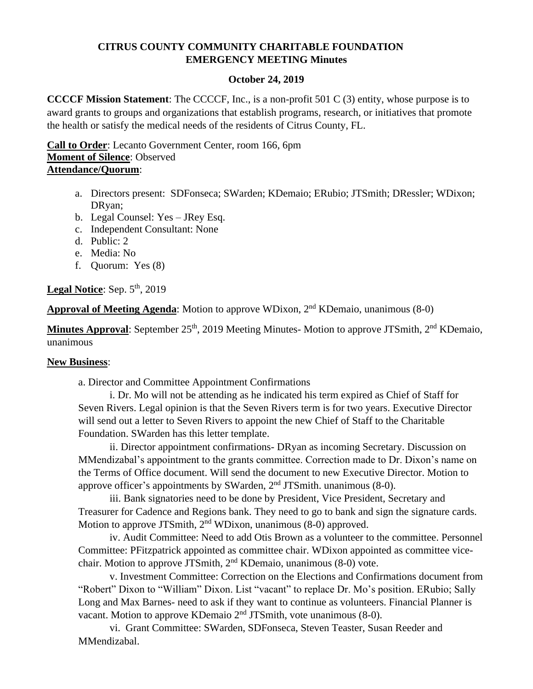#### **CITRUS COUNTY COMMUNITY CHARITABLE FOUNDATION EMERGENCY MEETING Minutes**

#### **October 24, 2019**

**CCCCF Mission Statement**: The CCCCF, Inc., is a non-profit 501 C (3) entity, whose purpose is to award grants to groups and organizations that establish programs, research, or initiatives that promote the health or satisfy the medical needs of the residents of Citrus County, FL.

**Call to Order**: Lecanto Government Center, room 166, 6pm **Moment of Silence**: Observed **Attendance/Quorum**:

- a. Directors present: SDFonseca; SWarden; KDemaio; ERubio; JTSmith; DRessler; WDixon; DRyan;
- b. Legal Counsel: Yes JRey Esq.
- c. Independent Consultant: None
- d. Public: 2
- e. Media: No
- f. Quorum: Yes (8)

#### Legal Notice: Sep. 5<sup>th</sup>, 2019

Approval of Meeting Agenda: Motion to approve WDixon, 2<sup>nd</sup> KDemaio, unanimous (8-0)

Minutes Approval: September 25<sup>th</sup>, 2019 Meeting Minutes- Motion to approve JTSmith, 2<sup>nd</sup> KDemaio, unanimous

#### **New Business**:

a. Director and Committee Appointment Confirmations

i. Dr. Mo will not be attending as he indicated his term expired as Chief of Staff for Seven Rivers. Legal opinion is that the Seven Rivers term is for two years. Executive Director will send out a letter to Seven Rivers to appoint the new Chief of Staff to the Charitable Foundation. SWarden has this letter template.

ii. Director appointment confirmations- DRyan as incoming Secretary. Discussion on MMendizabal's appointment to the grants committee. Correction made to Dr. Dixon's name on the Terms of Office document. Will send the document to new Executive Director. Motion to approve officer's appointments by SWarden,  $2<sup>nd</sup> JTSmith.$  unanimous (8-0).

iii. Bank signatories need to be done by President, Vice President, Secretary and Treasurer for Cadence and Regions bank. They need to go to bank and sign the signature cards. Motion to approve JTSmith, 2<sup>nd</sup> WDixon, unanimous (8-0) approved.

iv. Audit Committee: Need to add Otis Brown as a volunteer to the committee. Personnel Committee: PFitzpatrick appointed as committee chair. WDixon appointed as committee vicechair. Motion to approve JTSmith, 2<sup>nd</sup> KDemaio, unanimous (8-0) vote.

v. Investment Committee: Correction on the Elections and Confirmations document from "Robert" Dixon to "William" Dixon. List "vacant" to replace Dr. Mo's position. ERubio; Sally Long and Max Barnes- need to ask if they want to continue as volunteers. Financial Planner is vacant. Motion to approve KDemaio 2nd JTSmith, vote unanimous (8-0).

vi. Grant Committee: SWarden, SDFonseca, Steven Teaster, Susan Reeder and MMendizabal.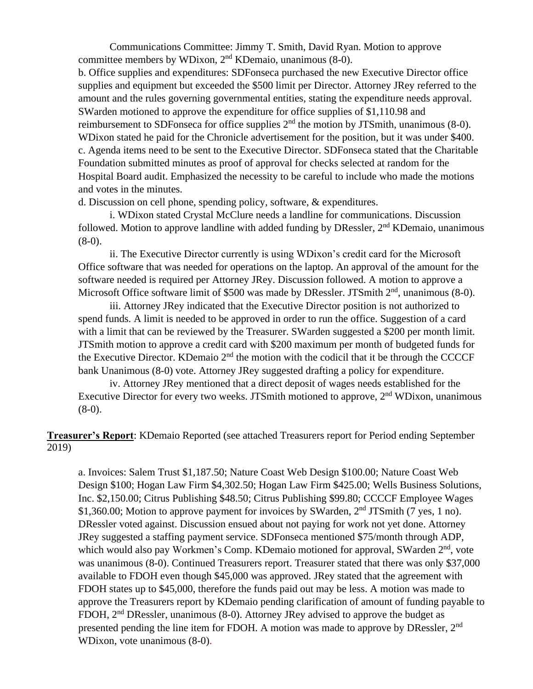Communications Committee: Jimmy T. Smith, David Ryan. Motion to approve committee members by WDixon,  $2<sup>nd</sup>$  KDemaio, unanimous (8-0).

b. Office supplies and expenditures: SDFonseca purchased the new Executive Director office supplies and equipment but exceeded the \$500 limit per Director. Attorney JRey referred to the amount and the rules governing governmental entities, stating the expenditure needs approval. SWarden motioned to approve the expenditure for office supplies of \$1,110.98 and reimbursement to SDFonseca for office supplies  $2<sup>nd</sup>$  the motion by JTSmith, unanimous (8-0). WDixon stated he paid for the Chronicle advertisement for the position, but it was under \$400. c. Agenda items need to be sent to the Executive Director. SDFonseca stated that the Charitable Foundation submitted minutes as proof of approval for checks selected at random for the Hospital Board audit. Emphasized the necessity to be careful to include who made the motions and votes in the minutes.

d. Discussion on cell phone, spending policy, software, & expenditures.

i. WDixon stated Crystal McClure needs a landline for communications. Discussion followed. Motion to approve landline with added funding by DRessler, 2<sup>nd</sup> KDemaio, unanimous  $(8-0)$ .

ii. The Executive Director currently is using WDixon's credit card for the Microsoft Office software that was needed for operations on the laptop. An approval of the amount for the software needed is required per Attorney JRey. Discussion followed. A motion to approve a Microsoft Office software limit of \$500 was made by DRessler. JTSmith  $2<sup>nd</sup>$ , unanimous (8-0).

iii. Attorney JRey indicated that the Executive Director position is not authorized to spend funds. A limit is needed to be approved in order to run the office. Suggestion of a card with a limit that can be reviewed by the Treasurer. SWarden suggested a \$200 per month limit. JTSmith motion to approve a credit card with \$200 maximum per month of budgeted funds for the Executive Director. KDemaio  $2<sup>nd</sup>$  the motion with the codicil that it be through the CCCCF bank Unanimous (8-0) vote. Attorney JRey suggested drafting a policy for expenditure.

iv. Attorney JRey mentioned that a direct deposit of wages needs established for the Executive Director for every two weeks. JTSmith motioned to approve, 2<sup>nd</sup> WDixon, unanimous  $(8-0)$ .

**Treasurer's Report**: KDemaio Reported (see attached Treasurers report for Period ending September 2019)

a. Invoices: Salem Trust \$1,187.50; Nature Coast Web Design \$100.00; Nature Coast Web Design \$100; Hogan Law Firm \$4,302.50; Hogan Law Firm \$425.00; Wells Business Solutions, Inc. \$2,150.00; Citrus Publishing \$48.50; Citrus Publishing \$99.80; CCCCF Employee Wages \$1,360.00; Motion to approve payment for invoices by SWarden, 2<sup>nd</sup> JTSmith (7 yes, 1 no). DRessler voted against. Discussion ensued about not paying for work not yet done. Attorney JRey suggested a staffing payment service. SDFonseca mentioned \$75/month through ADP, which would also pay Workmen's Comp. KDemaio motioned for approval, SWarden 2<sup>nd</sup>, vote was unanimous (8-0). Continued Treasurers report. Treasurer stated that there was only \$37,000 available to FDOH even though \$45,000 was approved. JRey stated that the agreement with FDOH states up to \$45,000, therefore the funds paid out may be less. A motion was made to approve the Treasurers report by KDemaio pending clarification of amount of funding payable to FDOH, 2<sup>nd</sup> DRessler, unanimous (8-0). Attorney JRey advised to approve the budget as presented pending the line item for FDOH. A motion was made to approve by DRessler, 2<sup>nd</sup> WDixon, vote unanimous (8-0).